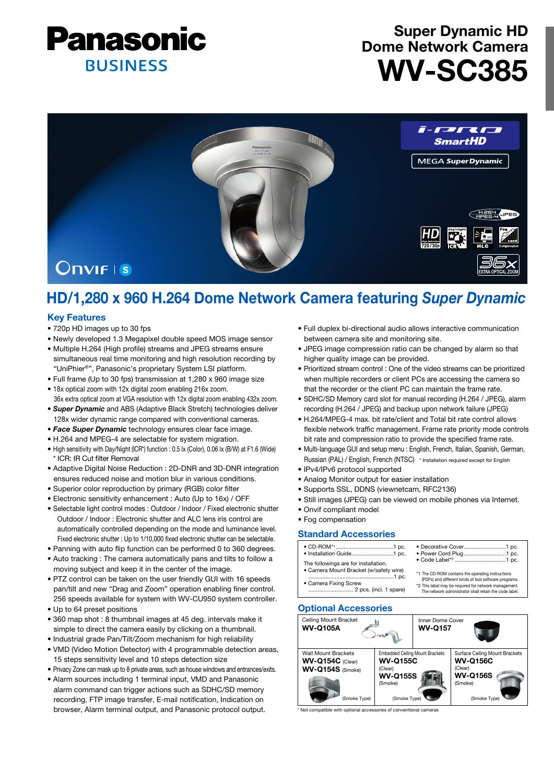

# Super Dynamic HD Dome Network Camera WV-SC385



# HD/1,280 x 960 H.264 Dome Network Camera featuring *Super Dynamic*

## Key Features

- 720p HD images up to 30 fps
- Newly developed 1.3 Megapixel double speed MOS image sensor
- Multiple H.264 (High profile) streams and JPEG streams ensure simultaneous real time monitoring and high resolution recording by "UniPhier®", Panasonic's proprietary System LSI platform.
- Full frame (Up to 30 fps) transmission at 1,280 x 960 image size
- 18x optical zoom with 12x digital zoom enabling 216x zoom. 36x extra optical zoom at VGA resolution with 12x digital zoom enabling 432x zoom.
- *Super Dynamic* and ABS (Adaptive Black Stretch) technologies deliver 128x wider dynamic range compared with conventional cameras.
- *Face Super Dynamic* technology ensures clear face image.
- H.264 and MPEG-4 are selectable for system migration.
- High sensitivity with Day/Night (ICR\*) function : 0.5 lx (Color), 0.06 lx (B/W) at F1.6 (Wide) \* ICR: IR Cut filter Removal
- Adaptive Digital Noise Reduction : 2D-DNR and 3D-DNR integration ensures reduced noise and motion blur in various conditions.
- Superior color reproduction by primary (RGB) color filter
- Electronic sensitivity enhancement : Auto (Up to 16x) / OFF
- Selectable light control modes : Outdoor / Indoor / Fixed electronic shutter Outdoor / Indoor : Electronic shutter and ALC lens iris control are automatically controlled depending on the mode and luminance level. Fixed electronic shutter : Up to 1/10,000 fixed electronic shutter can be selectable.
- Panning with auto flip function can be performed 0 to 360 degrees. • Auto tracking : The camera automatically pans and tilts to follow a
- moving subject and keep it in the center of the image.
- PTZ control can be taken on the user friendly GUI with 16 speeds pan/tilt and new "Drag and Zoom" operation enabling finer control. 256 speeds available for system with WV-CU950 system controller.
- Up to 64 preset positions
- 360 map shot : 8 thumbnail images at 45 deg. intervals make it simple to direct the camera easily by clicking on a thumbnail.
- Industrial grade Pan/Tilt/Zoom mechanism for high reliability
- VMD (Video Motion Detector) with 4 programmable detection areas, 15 steps sensitivity level and 10 steps detection size
- Privacy Zone can mask up to 8 private areas, such as house windows and entrances/exits.
- Alarm sources including 1 terminal input, VMD and Panasonic alarm command can trigger actions such as SDHC/SD memory recording, FTP image transfer, E-mail notification, Indication on browser, Alarm terminal output, and Panasonic protocol output.
- Full duplex bi-directional audio allows interactive communication between camera site and monitoring site.
- JPEG image compression ratio can be changed by alarm so that higher quality image can be provided.
- Prioritized stream control : One of the video streams can be prioritized when multiple recorders or client PCs are accessing the camera so that the recorder or the client PC can maintain the frame rate.
- SDHC/SD Memory card slot for manual recording (H.264 / JPEG), alarm recording (H.264 / JPEG) and backup upon network failure (JPEG)
- H.264/MPEG-4 max. bit rate/client and Total bit rate control allows flexible network traffic management. Frame rate priority mode controls bit rate and compression ratio to provide the specified frame rate.
- Multi-language GUI and setup menu : English, French, Italian, Spanish, German, Russian (PAL) / English, French (NTSC) \* Installation required except for English
- IPv4/IPv6 protocol supported
- Analog Monitor output for easier installation
- Supports SSL, DDNS (viewnetcam, RFC2136)
- Still images (JPEG) can be viewed on mobile phones via Internet.
- Onvif compliant model
- Fog compensation

### Standard Accessories

| The followings are for installation.   |                                                        |  |
|----------------------------------------|--------------------------------------------------------|--|
| · Camera Mount Bracket (w/safety wire) | *1 The CD-ROM contains the operating instructions      |  |
|                                        | (PDFs) and different kinds of tool software programs.  |  |
| • Camera Fixing Screw                  | *2 This label may be required for network management.  |  |
|                                        | The network administrator shall retain the code label. |  |

### Optional Accessories



 $\ddot{}$  ith optional accessories of conventional cameras